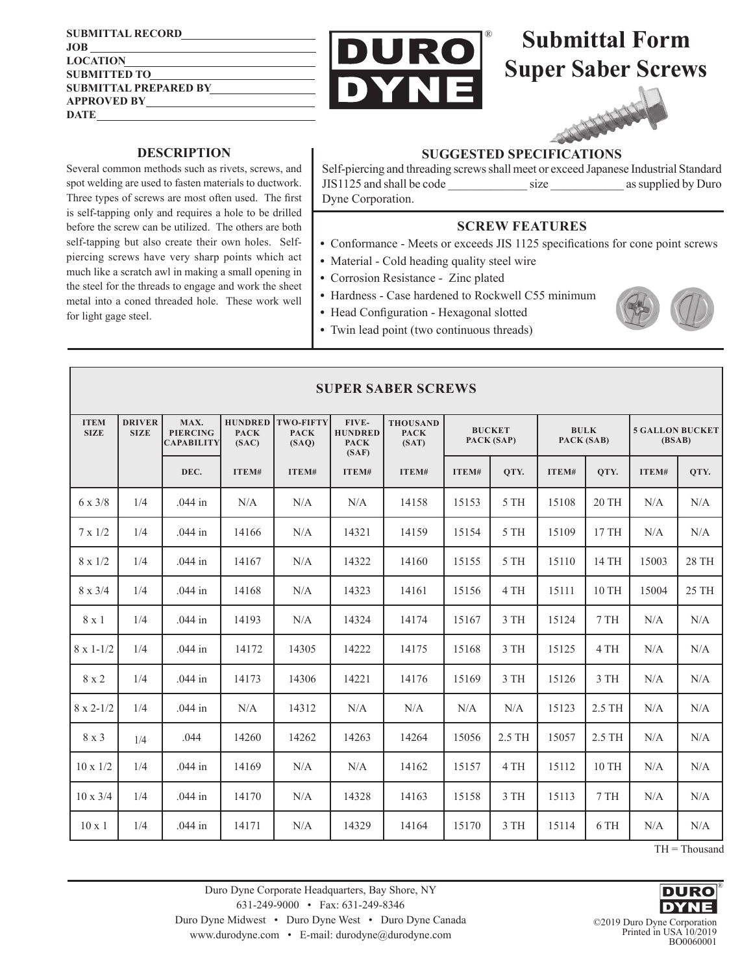**SUBMITTAL RECORD JOB LOCATION SUBMITTED TO SUBMITTAL PREPARED BY APPROVED BY DATE**



## **Submittal Form Super Saber Screws**



## **DESCRIPTION**

Several common methods such as rivets, screws, and spot welding are used to fasten materials to ductwork. Three types of screws are most often used. The first is self-tapping only and requires a hole to be drilled before the screw can be utilized. The others are both self-tapping but also create their own holes. Selfpiercing screws have very sharp points which act much like a scratch awl in making a small opening in the steel for the threads to engage and work the sheet metal into a coned threaded hole. These work well for light gage steel.

## **SUGGESTED SPECIFICATIONS**

Self-piercing and threading screws shall meet or exceed Japanese Industrial Standard JIS1125 and shall be code \_\_\_\_\_\_\_\_\_\_\_\_\_ size \_\_\_\_\_\_\_\_\_\_\_\_ as supplied by Duro Dyne Corporation.

## **SCREW FEATURES**

- **•** Conformance Meets or exceeds JIS 1125 specifications for cone point screws
- Material Cold heading quality steel wire
- **•** Corrosion Resistance Zinc plated
- **•** Hardness Case hardened to Rockwell C55 minimum
- **•** Head Configuration Hexagonal slotted
- **•** Twin lead point (two continuous threads)



| <b>SUPER SABER SCREWS</b>  |                              |                                              |                                        |                                          |                                                 |                                         |                             |        |                           |        |                                  |       |
|----------------------------|------------------------------|----------------------------------------------|----------------------------------------|------------------------------------------|-------------------------------------------------|-----------------------------------------|-----------------------------|--------|---------------------------|--------|----------------------------------|-------|
| <b>ITEM</b><br><b>SIZE</b> | <b>DRIVER</b><br><b>SIZE</b> | MAX.<br><b>PIERCING</b><br><b>CAPABILITY</b> | <b>HUNDRED</b><br><b>PACK</b><br>(SAC) | <b>TWO-FIFTY</b><br><b>PACK</b><br>(SAO) | FIVE-<br><b>HUNDRED</b><br><b>PACK</b><br>(SAF) | <b>THOUSAND</b><br><b>PACK</b><br>(SAT) | <b>BUCKET</b><br>PACK (SAP) |        | <b>BULK</b><br>PACK (SAB) |        | <b>5 GALLON BUCKET</b><br>(BSAB) |       |
|                            |                              | DEC.                                         | ITEM#                                  | ITEM#                                    | ITEM#                                           | ITEM#                                   | ITEM#                       | QTY.   | ITEM#                     | OTY.   | ITEM#                            | QTY.  |
| $6 \times 3/8$             | 1/4                          | .044 in                                      | N/A                                    | N/A                                      | N/A                                             | 14158                                   | 15153                       | 5 TH   | 15108                     | 20 TH  | N/A                              | N/A   |
| $7 \times 1/2$             | 1/4                          | .044 in                                      | 14166                                  | N/A                                      | 14321                                           | 14159                                   | 15154                       | 5 TH   | 15109                     | 17 TH  | N/A                              | N/A   |
| $8 \times 1/2$             | 1/4                          | $.044$ in                                    | 14167                                  | N/A                                      | 14322                                           | 14160                                   | 15155                       | 5 TH   | 15110                     | 14 TH  | 15003                            | 28 TH |
| $8 \times 3/4$             | 1/4                          | $.044$ in                                    | 14168                                  | N/A                                      | 14323                                           | 14161                                   | 15156                       | 4 TH   | 15111                     | 10 TH  | 15004                            | 25 TH |
| 8 x 1                      | 1/4                          | $.044$ in                                    | 14193                                  | N/A                                      | 14324                                           | 14174                                   | 15167                       | 3 TH   | 15124                     | 7 TH   | N/A                              | N/A   |
| $8 \times 1 - 1/2$         | 1/4                          | $.044$ in                                    | 14172                                  | 14305                                    | 14222                                           | 14175                                   | 15168                       | 3 TH   | 15125                     | 4 TH   | N/A                              | N/A   |
| $8 \times 2$               | 1/4                          | $.044$ in                                    | 14173                                  | 14306                                    | 14221                                           | 14176                                   | 15169                       | 3 TH   | 15126                     | 3 TH   | N/A                              | N/A   |
| $8 \times 2 - 1/2$         | 1/4                          | $.044$ in                                    | N/A                                    | 14312                                    | N/A                                             | N/A                                     | N/A                         | N/A    | 15123                     | 2.5 TH | N/A                              | N/A   |
| 8 x 3                      | 1/4                          | .044                                         | 14260                                  | 14262                                    | 14263                                           | 14264                                   | 15056                       | 2.5 TH | 15057                     | 2.5 TH | N/A                              | N/A   |
| $10 \times 1/2$            | 1/4                          | $.044$ in                                    | 14169                                  | N/A                                      | N/A                                             | 14162                                   | 15157                       | 4 TH   | 15112                     | 10 TH  | N/A                              | N/A   |
| $10 \times 3/4$            | 1/4                          | $.044$ in                                    | 14170                                  | N/A                                      | 14328                                           | 14163                                   | 15158                       | 3 TH   | 15113                     | 7 TH   | N/A                              | N/A   |
| $10 \times 1$              | 1/4                          | .044 in                                      | 14171                                  | N/A                                      | 14329                                           | 14164                                   | 15170                       | 3 TH   | 15114                     | 6 TH   | N/A                              | N/A   |

TH = Thousand

Duro Dyne Corporate Headquarters, Bay Shore, NY 631-249-9000 • Fax: 631-249-8346 Duro Dyne Midwest • Duro Dyne West • Duro Dyne Canada www.durodyne.com • E-mail: durodyne@durodyne.com



©2019 Duro Dyne Corporation Printed in USA 10/2019 BO0060001